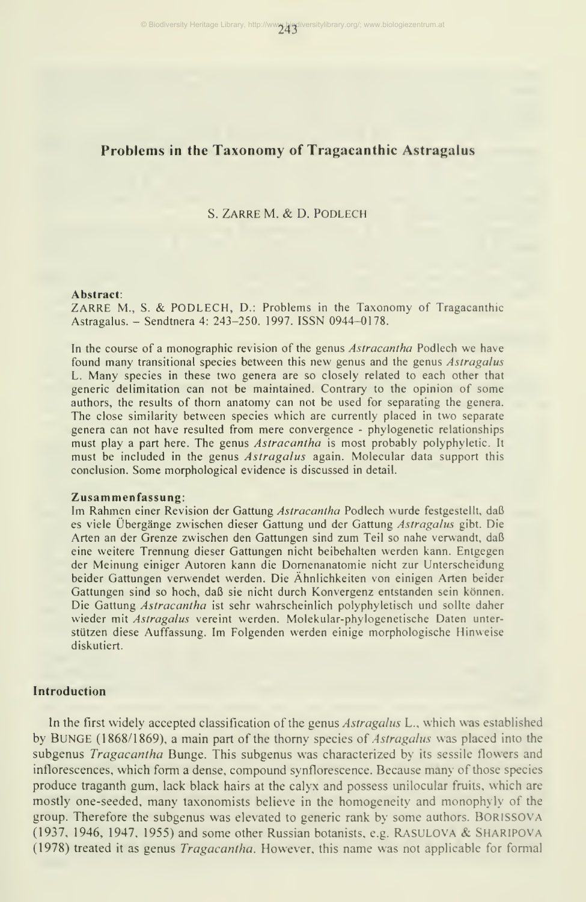# Problems in the Taxonomy of Tragacanthic Astragalus

#### S. ZARRE M. & D. PODLECH

#### Abstract:

ZARRE M., S. & PODLECH, D.: Problems in the Taxonomy of Tragacanthic Astragalus. - Sendtnera 4: 243-250. 1997. ISSN 0944-0178.

In the course of a monographic revision of the genus *Astracantha* Podlech we have found many transitional species between this new genus and the genus Astragalus L. Many species in these two genera are so closely related to each other that generic delimitation can not be maintained. Contrary to the opinion of some authors, the results of thorn anatomy can not be used for separating the genera. The close similarity between species which are currently placed in two separate genera can not have resulted from mere convergence - phylogenetic relationships must play a part here. The genus *Astracantha* is most probably polyphyletic. It must be included in the genus Astragalus again. Molecular data support this conclusion. Some morphological evidence is discussed in detail.

#### Zusammenfassung:

Im Rahmen einer Revision der Gattung Astracantha Podlech wurde festgestellt, daß es viele Übergänge zwischen dieser Gattung und der Gattung Astragalus gibt. Die Arten an der Grenze zwischen den Gattungen sind zum Teil so nahe verwandt, daß eine weitere Trennung dieser Gattungen nicht beibehalten werden kann. Entgegen der Meinung einiger Autoren kann die Domenanatomie nicht zur Unterscheidung beider Gattungen verwendet werden. Die Ähnlichkeiten von einigen Arten beider Gattungen sind so hoch, daß sie nicht durch Konvergenz entstanden sein können. Die Gattung Astracantha ist sehr wahrscheinlich polyphyletisch und sollte daher wieder mit Astragalus vereint werden. Molekular-phylogenetische Daten unterstützen diese Auffassung. Im Folgenden werden einige morphologische Hinweise diskutiert.

#### Introduction

In the first widely accepted classification of the genus Astragalus L., which was established by BUNGE (1868/1869), a main part of the thorny species of *Astragalus* was placed into the subgenus *Tragacantha* Bunge. This subgenus was characterized by its sessile flowers and inflorescences, which form a dense, compound synflorescence. Because many of those species produce traganth gum. lack black hairs at the calyx and possess unilocular fruits, which are mostly one-seeded, many taxonomists believe in the homogeneity and monophyly of the group. Therefore the subgenus was elevated to generic rank by some authors. Borissova (1937, 1946, 1947, 1955) and some other Russian botanists, e.g. Rasulova & ShaRIPOVA (1978) treated it as genus Tragacantha. However, this name was not applicable for formal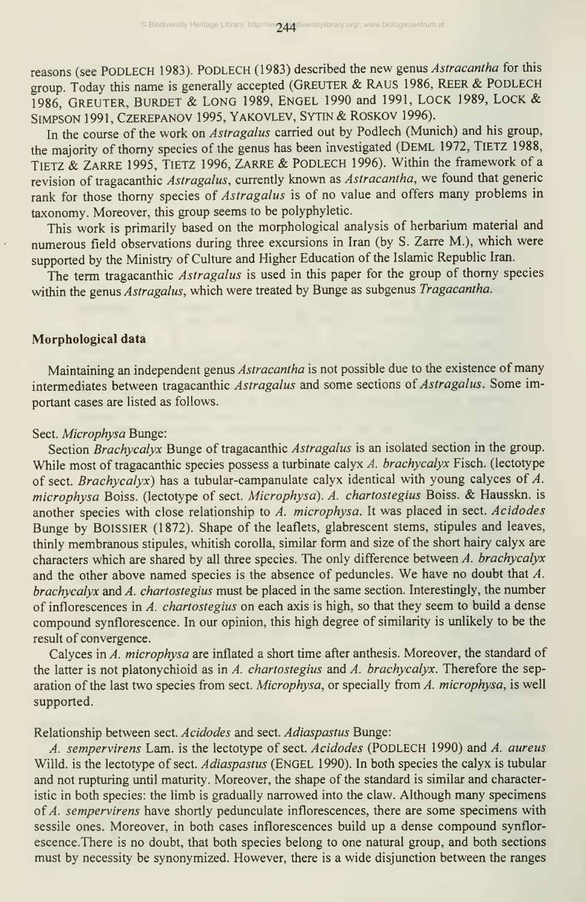reasons (see PODLECH 1983). PODLECH (1983) described the new genus Astracantha for this group. Today this name is generally accepted (GREUTER & RAUS 1986, REER & PODLECH 1986, GREUTER, BÜRDET & LONG 1989, ENGEL <sup>1990</sup> and 1991, LOCK 1989, LOCK & SIMPSON 1991, CZEREPANOV 1995, YAKOVLEV, SYTIN & ROSKOV 1996).

In the course of the work on Astragalus carried out by Podlech (Munich) and his group, the majority of thorny species of the genus has been investigated (Deml 1972, TiETZ 1988, TIETZ & Zarre 1995, TiETZ 1996, Zarre & PODLECH 1996). Within the framework of <sup>a</sup> revision of tragacanthic Astragalus, currently known as Astracantha, we found that generic rank for those thorny species of Astragalus is of no value and offers many problems in taxonomy. Moreover, this group seems to be polyphyletic.

This work is primarily based on the morphological analysis of herbarium material and numerous field observations during three excursions in Iran (by S. Zarre M.), which were supported by the Ministry of Culture and Higher Education of the Islamic Republic Iran.

The term tragacanthic *Astragalus* is used in this paper for the group of thorny species within the genus Astragalus, which were treated by Bunge as subgenus Tragacantha.

## Morphological data

Maintaining an independent genus Astracantha is not possible due to the existence of many intermediates between tragacanthic Astragalus and some sections of Astragalus. Some important cases are listed as follows.

## Sect. Microphysa Bunge:

Section Brachycalyx Bunge of tragacanthic Astragalus is an isolated section in the group. While most of tragacanthic species possess a turbinate calyx A. brachycalyx Fisch. (lectotype of sect. Brachycalyx) has a tubular-campanulate calyx identical with young calyces of  $A$ . microphysa Boiss. (lectotype of sect. Microphysa). A. chartostegius Boiss. & Hausskn. is another species with close relationship to  $\vec{A}$ . microphysa. It was placed in sect. Acidodes Bunge by BOISSIER (1872). Shape of the leaflets, glabrescent stems, stipules and leaves, thinly membranous stipules, whitish corolla, similar form and size of the short hairy calyx are characters which are shared by all three species. The only difference between A. brachycalyx and the other above named species is the absence of peduncles. We have no doubt that A. brachycalyx and A. chartostegius must be placed in the same section. Interestingly, the number of inflorescences in A. chartostegius on each axis is high, so that they seem to build a dense compound synflorescence. In our opinion, this high degree of similarity is unlikely to be the result of convergence.

Calyces in A. microphysa are inflated a short time after anthesis. Moreover, the standard of the latter is not platonychioid as in A. chartostegius and A. brachycalyx. Therefore the separation of the last two species from sect. Microphysa, or specially from A. microphysa, is well supported.

## Relationship between sect. Acidodes and sect. Adiaspastus Bunge:

A. sempervirens Lam. is the lectotype of sect. Acidodes (PODLECH 1990) and A. aureus Willd. is the lectotype of sect. Adiaspastus (ENGEL 1990). In both species the calyx is tubular and not rupturing until maturity. Moreover, the shape of the standard is similar and characteristic in both species: the limb is gradually narrowed into the claw. Although many specimens of A. sempervirens have shortly pedunculate inflorescences, there are some specimens with sessile ones. Moreover, in both cases inflorescences build up a dense compound synflorescence.There is no doubt, that both species belong to one natural group, and both sections must by necessity be synonymized. However, there is a wide disjunction between the ranges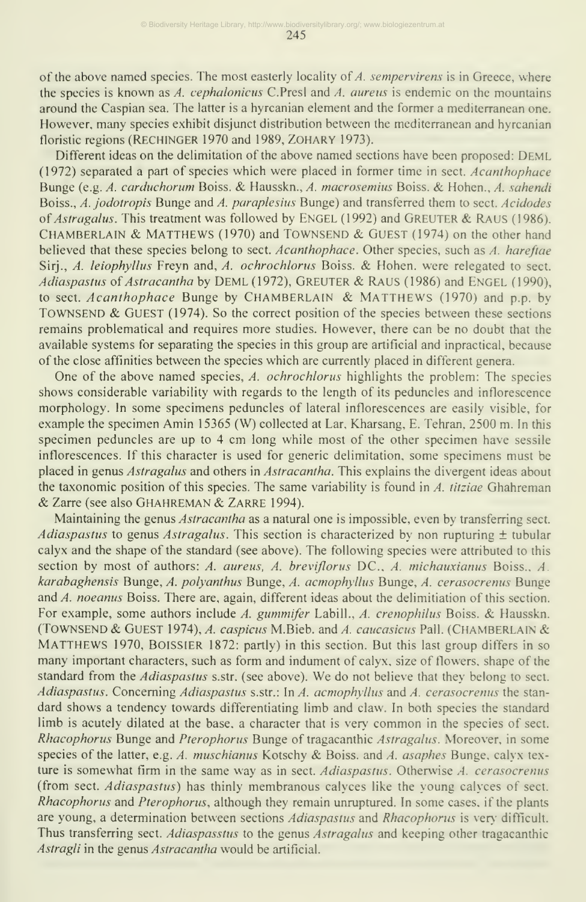245

of the above named species. The most easterly locality of  $A$ , sempervirens is in Greece, where the species is known as  $A$ . *cephalonicus* C.Presl and  $A$ . *aureus* is endemic on the mountains around the Caspian sea. The latter is a hyrcanian element and the former a mediterranean one. However, many species exhibit disjunct distribution between the mediterranean and hyrcanian floristic regions (Rechinger 1970 and 1989, ZOHARY 1973).

Different ideas on the delimitation of the above named sections have been proposed: Deml (1972) separated a part of species which were placed in former time in sect. Acanthophace Bunge (e.g. A. carduchorum Boiss. & Hausskn., A. macrosemius Boiss. & Hohen., A. sahendi Boiss., A. jodotropis Bunge and A. paraplesius Bunge) and transferred them to sect. Acidodes of Astragalus. This treatment was followed by ENGEL (1992) and GREUTER & RAUS (1986). CHAMBERLAIN & MATTHEWS (1970) and TOWNSEND & GUEST (1974) on the other hand believed that these species belong to sect. Acanthophace. Other species, such as A. hareftae Sirj., A. leiophyllus Freyn and, A. ochrochlorus Boiss. & Hohen, were relegated to sect. Adiaspastus of Astracantha by DEML (1972), GREUTER & RAUS (1986) and ENGEL (1990), to sect. Acanthophace Bunge by CHAMBERLAIN & MATTHEWS (1970) and p.p. by TOWNSEND & GUEST (1974). So the correct position of the species between these sections remains problematical and requires more studies. However, there can be no doubt that the available systems for separating the species in this group are artificial and inpractical, because of the close affinities between the species which are currently placed in different genera.

One of the above named species, A. ochrochlorus highlights the problem: The species shows considerable variability with regards to the length of its peduncles and inflorescence morphology. In some specimens peduncles of lateral inflorescences are easily visible, for example the specimen Amin 15365 (W) collected at Lar, Kharsang, E. Tehran, 2500 m. In this specimen peduncles are up to 4 cm long while most of the other specimen have sessile inflorescences. If this character is used for generic delimitation, some specimens must be placed in genus Astragalus and others in Astracantha. This explains the divergent ideas about the taxonomic position of this species. The same variability is found in  $\Lambda$ , titziae Ghahreman & Zarre (see also Ghahreman & Zarre 1994).

Maintaining the genus Astracantha as a natural one is impossible, even by transferring sect. Adiaspastus to genus Astragalus. This section is characterized by non rupturing  $\pm$  tubular calyx and the shape of the standard (see above). The following species were attributed to this section by most of authors: A. aureus, A. breviflorus DC., A. michauxianus Boiss., A. karabaghensis Bunge, A. polyanthus Bunge, A. acmophyllus Bunge, A. cerasocrenus Bunge and A. noeanus Boiss. There are, again, different ideas about the delimitiation of this section. For example, some authors include A. gummifer Labill., A. crenophilus Boiss. & Hausskn. (TOWNSEND & Guest 1974), A. caspicus M.Bieb. and A. caucasicus Pall. (CHAMBERLAIN & MATTHEWS 1970, BOISSIER 1872: partly) in this section. But this last group differs in so many important characters, such as form and indument of calyx, size of flowers, shape of the standard from the Adiaspastus s.str. (see above). We do not believe that they belong to sect. Adiaspastus. Concerning Adiaspastus s.str.: In A. acmophyllus and A. cerasocrenus the stan dard shows a tendency towards differentiating limb and claw. In both species the standard limb is acutely dilated at the base, a character that is very common in the species of sect. Rhacophorus Bunge and Pterophorus Bunge of tragacanthic Astragalus. Moreover, in some species of the latter, e.g. A. muschianus Kotschy & Boiss. and A. asaphes Bunge, calyx texture is somewhat firm in the same way as in sect. Adiaspastus. Otherwise A. cerasocrenus (from sect. Adiaspastus) has thinly membranous calyces like the young calyces of sect. Rhacophorus and Pterophorus, although they remain unruptured. In some cases, if the plants are young, a determination between sections Adiaspastus and Rhacophorus is very difficult. Thus transferring sect. Adiaspasstus to the genus Astragalus and keeping other tragacanthic Astragli in the genus Astracantha would be artificial.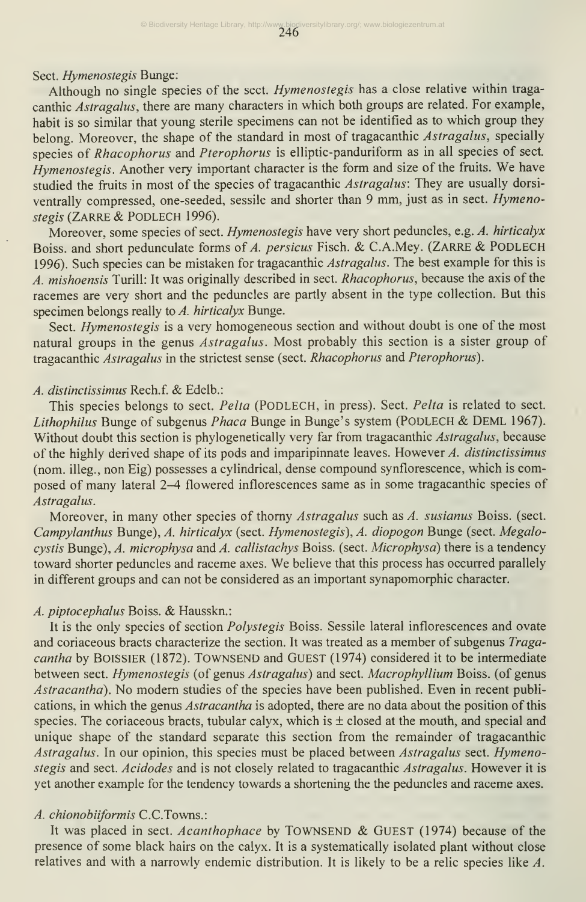Sect. Hymenostegis Bunge:

Although no single species of the sect. Hymenostegis has a close relative within traga canthic Astragalus, there are many characters in which both groups are related. For example, habit is so similar that young sterile specimens can not be identified as to which group they belong. Moreover, the shape of the standard in most of tragacanthic Astragalus, specially species of Rhacophorus and Pterophorus is elliptic-panduriform as in all species of sect. Hymenostegis. Another very important character is the form and size of the fruits. We have studied the fruits in most of the species of tragacanthic Astragalus: They are usually dorsi ventrally compressed, one-seeded, sessile and shorter than <sup>9</sup> mm, just as in sect. Hymenostegis (ZARRE & PODLECH 1996).

Moreover, some species of sect. Hymenostegis have very short peduncles, e.g. A. hirticalyx Boiss. and short pedunculate forms of A. persicus Fisch. & C.A.Mey. (ZARRE & PODLECH 1996). Such species can be mistaken for tragacanthic Astragalus. The best example for this is A. mishoensis Turill: It was originally described in sect. Rhacophorus, because the axis of the racemes are very short and the peduncles are partly absent in the type collection. But this specimen belongs really to A. hirticalyx Bunge.

Sect. *Hymenostegis* is a very homogeneous section and without doubt is one of the most natural groups in the genus Astragalus. Most probably this section is a sister group of tragacanthic Astragalus in the strictest sense (sect. Rhacophorus and Pterophorus).

#### A. distinctissimus Rech.f. & Edelb.:

This species belongs to sect. Pelta (PODLECH, in press). Sect. Pelta is related to sect. Lithophilus Bunge of subgenus Phaca Bunge in Bunge's system (PODLECH & DEML 1967). Without doubt this section is phylogenetically very far from tragacanthic Astragalus, because of the highly derived shape of its pods and imparipinnate leaves. However  $A$ , distinctissimus (nom. illeg., non Eig) possesses a cylindrical, dense compound synflorescence, which is composed of many lateral 2-4 flowered inflorescences same as in some tragacanthic species of Astragalus.

Moreover, in many other species of thorny Astragalus such as A. susianus Boiss. (sect. Campylanthus Bunge), A. hirticalyx (sect. Hymenostegis), A. diopogon Bunge (sect. Megalocystis Bunge), A. microphysa and A. callistachys Boiss. (sect. Microphysa) there is a tendency toward shorter peduncles and raceme axes. We believe that this process has occurred parallely in different groups and can not be considered as an important synapomorphic character.

## A. piptocephalus Boiss. & Hausskn.:

It is the only species of section Polystegis Boiss. Sessile lateral inflorescences and ovate and coriaceous bracts characterize the section. It was treated as a member of subgenus Tragacantha by BOISSIER (1872). TOWNSEND and GUEST (1974) considered it to be intermediate between sect. Hymenostegis (of genus Astragalus) and sect. Macrophyllium Boiss. (of genus Astracantha). No modem studies of the species have been published. Even in recent publications, in which the genus Astracantha is adopted, there are no data about the position of this species. The coriaceous bracts, tubular calyx, which is  $\pm$  closed at the mouth, and special and unique shape of the standard separate this section from the remainder of tragacanthic Astragalus. In our opinion, this species must be placed between Astragalus sect. Hymenostegis and sect. Acidodes and is not closely related to tragacanthic Astragalus. However it is yet another example for the tendency towards a shortening the the peduncles and raceme axes.

#### A. chionobiiformis C.C.Towns.:

It was placed in sect. Acanthophace by TOWNSEND & GUEST (1974) because of the presence of some black hairs on the calyx. It is a systematically isolated plant without close relatives and with a narrowly endemic distribution. It is likely to be a relic species like  $A$ .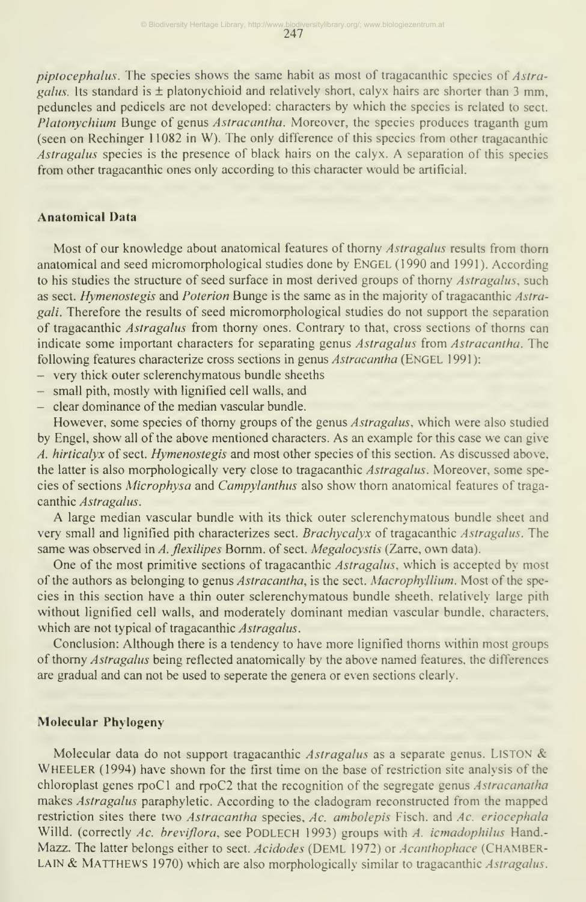piptocephalus. The species shows the same habit as most of tragacanthic species of Astragalus. Its standard is  $\pm$  platonychioid and relatively short, calyx hairs are shorter than 3 mm, peduncles and pedicels are not developed: characters by which the species is related to sect. Platonychium Bunge of genus Astracantha. Moreover, the species produces traganth gum (seen on Rechinger <sup>1</sup> 1082 in W). The only difference of this species from other tragacanthic Astragalus species is the presence of black hairs on the calyx. A separation of this species from other tragacanthic ones only according to this character would be artificial.

#### Anatomical Data

Most of our knowledge about anatomical features of thorny Astragalus results from thorn anatomical and seed micromorphological studies done by ENGEL (1990 and 1991). According to his studies the structure of seed surface in most derived groups of thorny Astragalus, such as sect. Hymenostegis and Poterion Bunge is the same as in the majority of tragacanthic Astragali. Therefore the results of seed micromorphological studies do not support the separation of tragacanthic *Astragalus* from thorny ones. Contrary to that, cross sections of thorns can indicate some important characters for separating genus Astragalus from Astracantha. The following features characterize cross sections in genus Astracantha (ENGEL 1991):

- very thick outer sclerenchymatous bundle sheeths
- small pith, mostly with lignified cell walls, and
- clear dominance of the median vascular bundle.

However, some species of thorny groups of the genus *Astragalus*, which were also studied by Engel, show all of the above mentioned characters. As an example for this case we can give A. hirticalyx of sect. Hymenostegis and most other species of this section. As discussed above, the latter is also morphologically very close to tragacanthic Astragalus. Moreover, some species of sections Microphysa and Campylanthus also show thorn anatomical features of traga canthic Astragalus.

A large median vascular bundle with its thick outer sclerenchymatous bundle sheet and very small and lignified pith characterizes sect. Brachycalyx of tragacanthic Astragalus. The same was observed in A. flexilipes Bornm. of sect. Megalocystis (Zarre, own data).

One of the most primitive sections of tragacanthic Astragalus, which is accepted by most of the authors as belonging to genus Astracantha, is the sect. Macrophyllium. Most of the species in this section have a thin outer sclerenchymatous bundle sheeth. relatively large pith without lignified cell walls, and moderately dominant median vascular bundle, characters, which are not typical of tragacanthic Astragalus.

Conclusion: Although there is a tendency to have more lignified thorns within most groups of thorny Astragalus being reflected anatomically by the above named features, the differences are gradual and can not be used to seperate the genera or even sections clearly.

## Molecular Phylogeny

Molecular data do not support tragacanthic Astragalus as a separate genus. LISTON & Wheeler (1994) have shown for the first time on the base of restriction site analysis of the chloroplast genes rpoCl and rpoC2 that the recognition of the segregate genus Astracanatha makes Astragalus paraphyletic. According to the cladogram reconstructed from the mapped restriction sites there two Astracantha species, Ac. ambolepis Fisch. and Ac. eriocephala Willd. (correctly Ac. breviflora, see PODLECH 1993) groups with A. icmadophilus Hand.-Mazz. The latter belongs either to sect. Acidodes (DEML 1972) or Acanthophace (CHAMBER-LAIN & MATTHEWS 1970) which are also morphologically similar to tragacanthic Astragalus.

247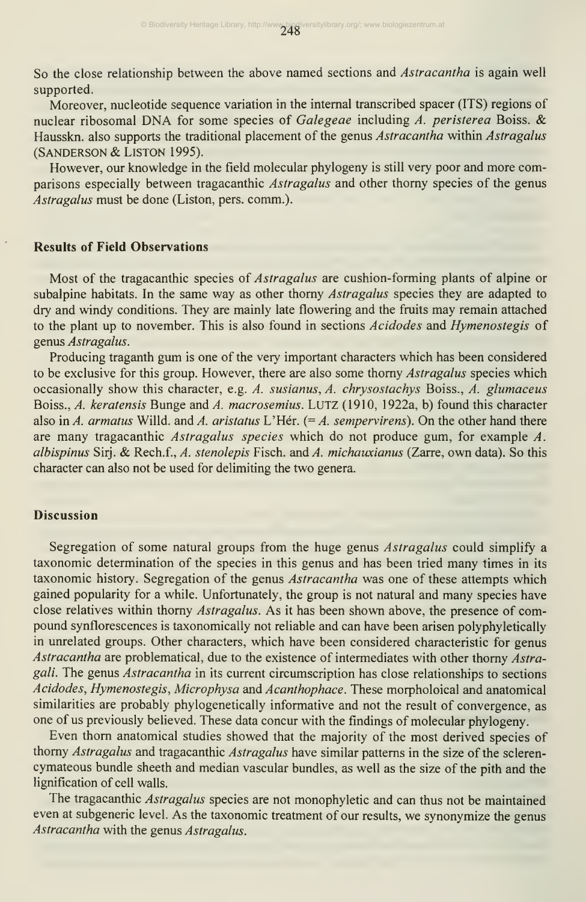So the close relationship between the above named sections and *Astracantha* is again well supported.

Moreover, nucleotide sequence variation in the internal transcribed spacer (ITS) regions of nuclear ribosomal DNA for some species of Galegeae including  $\vec{A}$ . peristerea Boiss. & Hausskn. also supports the traditional placement of the genus Astracantha within Astragalus (Sanderson & LiSTON 1995).

However, our knowledge in the field molecular phylogeny is still very poor and more comparisons especially between tragacanthic Astragalus and other thorny species of the genus Astragalus must be done (Liston, pers. comm.).

#### Results of Field Observations

Most of the tragacanthic species of *Astragalus* are cushion-forming plants of alpine or subalpine habitats. In the same way as other thorny Astragalus species they are adapted to dry and windy conditions. They are mainly late flowering and the fruits may remain attached to the plant up to november. This is also found in sections Acidodes and Hymenostegis of genus Astragalus.

Producing traganth gum is one of the very important characters which has been considered to be exclusive for this group. However, there are also some thorny Astragalus species which occasionally show this character, e.g. A. susianus, A. chrysostachys Boiss., A. glumaceus Boiss., A. keratensis Bunge and A. macrosemius. LUTZ (1910, 1922a, b) found this character also in A. armatus Willd. and A. aristatus L'Hér.  $(= A.$  sempervirens). On the other hand there are many tragacanthic Astragalus species which do not produce gum, for example A. albispinus Sirj. & Rech.f., A. stenolepis Fisch. and A. michauxianus (Zarre, own data). So this character can also not be used for delimiting the two genera.

## **Discussion**

Segregation of some natural groups from the huge genus Astragalus could simplify a taxonomic determination of the species in this genus and has been tried many times in its taxonomic history. Segregation of the genus Astracantha was one of these attempts which gained popularity for a while. Unfortunately, the group is not natural and many species have close relatives within thorny Astragalus. As it has been shown above, the presence of compound synflorescences is taxonomically not reliable and can have been arisen polyphyletically in unrelated groups. Other characters, which have been considered characteristic for genus Astracantha are problematical, due to the existence of intermediates with other thorny Astragali. The genus Astracantha in its current circumscription has close relationships to sections Acidodes, Hymenostegis, Microphysa and Acanthophace. These morpholoical and anatomical similarities are probably phylogenetically informative and not the result of convergence, as one of us previously believed. These data concur with the findings of molecular phylogeny.

Even thorn anatomical studies showed that the majority of the most derived species of thorny Astragalus and tragacanthic Astragalus have similar patterns in the size of the sclerencymateous bundle sheeth and median vascular bundles, as well as the size of the pith and the lignification of cell walls.

The tragacanthic Astragalus species are not monophyletic and can thus not be maintained even at subgeneric level. As the taxonomic treatment of our results, we synonymize the genus Astracantha with the genus Astragalus.

248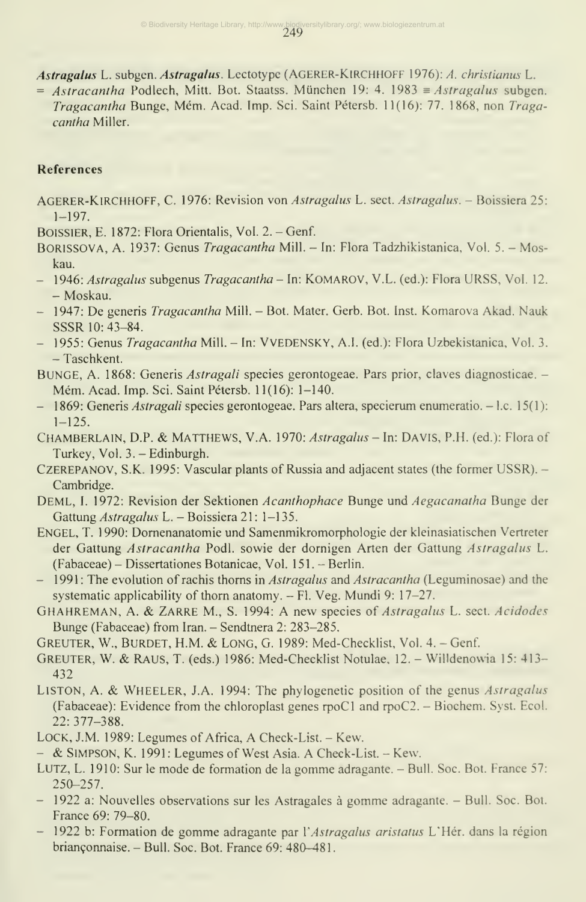249 © Biodiversity Heritage Library, http://www.biodiversitylibrary.org/; www.biologiezentrum.at

Astragalus L. subgen. Astragalus. Lectotype (AGERER-KlRCHHOFF 1976): A. christianus L.

 $=$  Astracantha Podlech, Mitt. Bot. Staatss. München 19: 4. 1983  $\equiv$  Astragalus subgen. Tragacantha Bunge, Mém. Acad. Imp. Sci. Saint Pétersb. 11(16): 77. 1868, non Tragacantha Miller.

# References

- AGERER-KIRCHHOFF, C. 1976: Revision von Astragalus L. sect. Astragalus. Boissiera 25:  $1 - 197$ .
- BOISSIER, E. 1872: Flora Orientalis, Vol. 2. Genf.
- BORISSOVA, A. 1937: Genus *Tragacantha* Mill. In: Flora Tadzhikistanica, Vol. 5. Moskau.
- 1946: Astragalus subgenus Tragacantha In: KOMAROV, V.L. (ed.): Flora URSS, Vol. 12. - Moskau.
- 1947: De generis *Tragacantha* Mill. Bot. Mater. Gerb. Bot. Inst. Komarova Akad. Nauk SSSR 10: 43-84.
- 1955: Genus *Tragacantha* Mill. In: VVEDENSKY, A.I. (ed.): Flora Uzbekistanica, Vol. 3. - Taschkent.
- BUNGE, A. 1868: Generis *Astragali* species gerontogeae. Pars prior, claves diagnosticae. -Mém. Acad. Imp. Sci. Saint Pétersb. 11(16): 1-140.
- 1869: Generis *Astragali* species gerontogeae. Pars altera, specierum enumeratio. I.c. 15(1):  $1 - 125$ .
- CHAMBERLAIN, D.P. & MATTHEWS, V.A. 1970: Astragalus In: DAVIS, P.H. (ed.): Flora of Turkey, Vol. 3. - Edinburgh.
- CZEREPANOV, S.K. 1995: Vascular plants of Russia and adjacent states (the former USSR). Cambridge.
- DEML, I. 1972: Revision der Sektionen Acanthophace Bunge und Aegacanatha Bunge der Gattung Astragalus L. - Boissiera 21: 1-135.
- Engel, T. 1990: Domenanatomie und Samenmikromorphologie der kleinasiatischen Vertreter der Gattung Astracantha Podl. sowie der dornigen Arten der Gattung Astragalus L. (Fabaceae) - Dissertationes Botanicae, Vol. 151. - Berlin.
- 1991: The evolution of rachis thorns in *Astragalus* and *Astracantha* (Leguminosae) and the systematic applicability of thorn anatomy. - Fl. Veg. Mundi 9: 17-27.
- GHAHREMAN, A. & ZARRE M., S. 1994: A new species of *Astragalus L. sect. Acidodes* Bunge (Fabaceae) from Iran. - Sendtnera 2: 283-285.
- Greuter, W., Bürdet, H.M. & Long, G. 1989: Med-Checklist, Vol. 4. Genf.
- Greuter, W. & Raus, T. (eds.) 1986: Med-Checklist Notulae, 12. Willdenowia 15: 413- 432
- LISTON, A. & WHEELER, J.A. 1994: The phylogenetic position of the genus *Astragalus* (Fabaceae): Evidence from the chloroplast genes rpoCl and rpoC2. - Biochem. Syst. Ecol. 22: 377-388.
- LOCK, J.M. 1989: Legumes of Africa, A Check-List. Kew.
- & SIMPSON, K. 1991: Legumes of West Asia. A Check-List. Kew.
- Lutz, L. 1910: Sur le mode de formation de la gomme adragante. Bull. Soc. Bot. France 57: 250-257.
- 1922 a: Nouvelles observations sur les Astragales <sup>ä</sup> gomme adragante. Bull. Soc. Bot. France 69: 79-80.
- 1922 b: Formation de gomme adragante par l'Astragalus aristatus L'Hér. dans la région brianconnaise. - Bull. Soc. Bot. France 69: 480-481.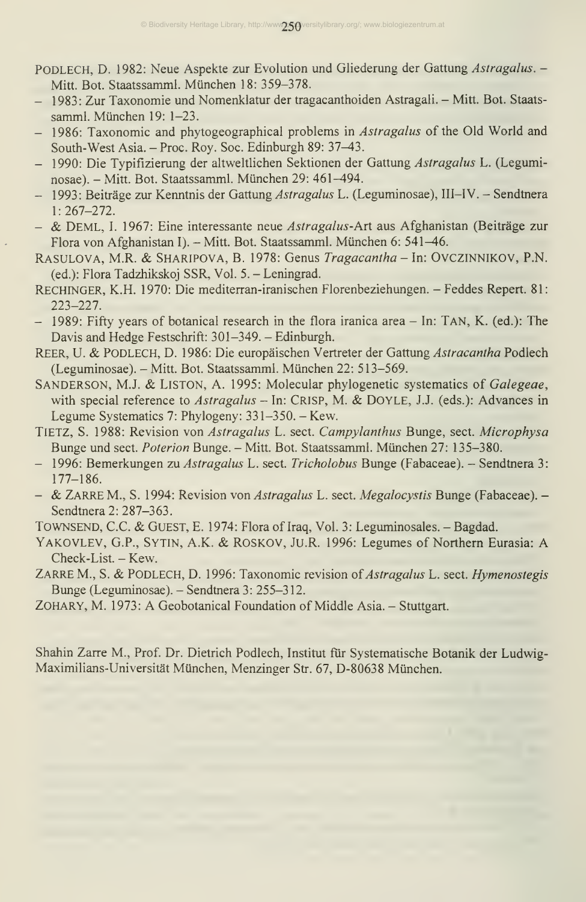- PODLECH, D. 1982: Neue Aspekte zur Evolution und Gliederung der Gattung Astragalus. -Mitt. Bot. Staatssamml. München 18: 359-378.
- 1983: Zur Taxonomie und Nomenklatur der tragacanthoiden Astragali. Mitt. Bot. Staats samml. München 19: 1-23.
- 1986: Taxonomic and phytogeographical problems in *Astragalus* of the Old World and South-West Asia. - Proc. Roy. Soc. Edinburgh 89: 37-43.
- 1990: Die Typifizierung der altweltlichen Sektionen der Gattung Astragalus L. (Leguminosae). - Mitt. Bot. Staatssamml. München 29: 461^94.
- 1993: Beiträge zur Kenntnis der Gattung Astragalus L. (Leguminosae), III-IV. Sendtnera  $1: 267 - 272.$
- & DEML, I. 1967: Eine interessante neue Astragalus-Art aus Afghanistan (Beiträge zur Flora von Afghanistan I). - Mitt. Bot. Staatssamml. München 6: 541-46.
- RASULOVA, M.R. & SHARIPOVA, B. 1978: Genus Tragacantha In: OVCZINNIKOV, P.N. (ed.): Flora Tadzhikskoj SSR, Vol. 5. - Leningrad.
- Rechinger, K.H. 1970: Die mediterran-iranischen Florenbeziehungen. Feddes Repert. 81: 223-227.
- 1989: Fifty years of botanical research in the flora iranica area In: TAN, K. (ed.): The Davis and Hedge Festschrift: 301-349. - Edinburgh.
- REER, U. & PODLECH, D. 1986: Die europäischen Vertreter der Gattung Astracantha Podlech (Leguminosae). - Mitt. Bot. Staatssamml. München 22: 513-569.
- SANDERSON, M.J. & LISTON, A. 1995: Molecular phylogenetic systematics of Galegeae, with special reference to Astragalus - In: CRISP, M. & DOYLE, J.J. (eds.): Advances in Legume Systematics 7: Phylogeny: 331-350. - Kew.
- TiETZ, S. 1988: Revision von Astragalus L. sect. Campylanthus Bunge, sect. Microphysa Bunge und sect. Poterion Bunge. - Mitt. Bot. Staatssamml. München 27: 135-380.
- 1996: Bemerkungen zu Astragalus L. sect. Tricholobus Bunge (Fabaceae). Sendtnera 3: 177-186.
- & ZARRE M., S. 1994: Revision von Astragalus L. sect. Megalocystis Bunge (Fabaceae). -Sendtnera 2: 287-363.
- TOWNSEND, C.C. & GUEST, E. 1974: Flora of Iraq, Vol. 3: Leguminosales. Bagdad.
- Yakovlev, G.P., Sytin, A.K. & ROSKOV, Ju.R. 1996: Legumes of Northern Eurasia: A Check-List. - Kew.
- ZARRE M., S. & PODLECH, D. 1996: Taxonomic revision of Astragalus L. sect. Hymenostegis Bunge (Leguminosae). - Sendtnera 3: 255-312.
- ZOHARY, M. 1973: A Geobotanical Foundation of Middle Asia. Stuttgart.

Shahin Zarre M., Prof. Dr. Dietrich Podlech, Institut fur Systematische Botanik der Ludwig-Maximilians-Universität München, Menzinger Str. 67, D-80638 München.